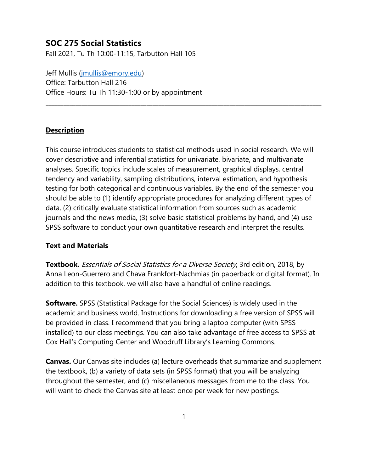# **SOC 275 Social Statistics**

Fall 2021, Tu Th 10:00-11:15, Tarbutton Hall 105

Jeff Mullis [\(jmullis@emory.edu\)](mailto:jmullis@emory.edu) Office: Tarbutton Hall 216 Office Hours: Tu Th 11:30-1:00 or by appointment

#### **Description**

This course introduces students to statistical methods used in social research. We will cover descriptive and inferential statistics for univariate, bivariate, and multivariate analyses. Specific topics include scales of measurement, graphical displays, central tendency and variability, sampling distributions, interval estimation, and hypothesis testing for both categorical and continuous variables. By the end of the semester you should be able to (1) identify appropriate procedures for analyzing different types of data, (2) critically evaluate statistical information from sources such as academic journals and the news media, (3) solve basic statistical problems by hand, and (4) use SPSS software to conduct your own quantitative research and interpret the results.

 $\_$  ,  $\_$  ,  $\_$  ,  $\_$  ,  $\_$  ,  $\_$  ,  $\_$  ,  $\_$  ,  $\_$  ,  $\_$  ,  $\_$  ,  $\_$  ,  $\_$  ,  $\_$  ,  $\_$  ,  $\_$  ,  $\_$  ,  $\_$  ,  $\_$  ,  $\_$  ,  $\_$  ,  $\_$  ,  $\_$  ,  $\_$  ,  $\_$  ,  $\_$  ,  $\_$  ,  $\_$  ,  $\_$  ,  $\_$  ,  $\_$  ,  $\_$  ,  $\_$  ,  $\_$  ,  $\_$  ,  $\_$  ,  $\_$  ,

## **Text and Materials**

**Textbook.** Essentials of Social Statistics for a Diverse Society, 3rd edition, 2018, by Anna Leon-Guerrero and Chava Frankfort-Nachmias (in paperback or digital format). In addition to this textbook, we will also have a handful of online readings.

**Software.** SPSS (Statistical Package for the Social Sciences) is widely used in the academic and business world. Instructions for downloading a free version of SPSS will be provided in class. I recommend that you bring a laptop computer (with SPSS installed) to our class meetings. You can also take advantage of free access to SPSS at Cox Hall's Computing Center and Woodruff Library's Learning Commons.

**Canvas.** Our Canvas site includes (a) lecture overheads that summarize and supplement the textbook, (b) a variety of data sets (in SPSS format) that you will be analyzing throughout the semester, and (c) miscellaneous messages from me to the class. You will want to check the Canvas site at least once per week for new postings.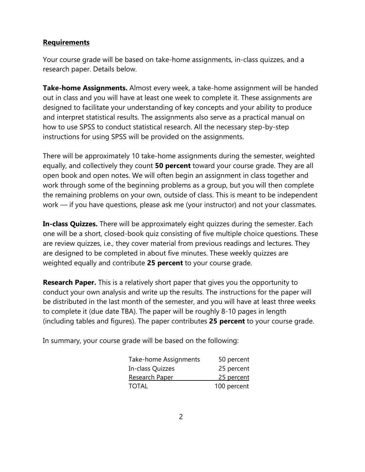## **Requirements**

Your course grade will be based on take-home assignments, in-class quizzes, and a research paper. Details below.

**Take-home Assignments.** Almost every week, a take-home assignment will be handed out in class and you will have at least one week to complete it. These assignments are designed to facilitate your understanding of key concepts and your ability to produce and interpret statistical results. The assignments also serve as a practical manual on how to use SPSS to conduct statistical research. All the necessary step-by-step instructions for using SPSS will be provided on the assignments.

There will be approximately 10 take-home assignments during the semester, weighted equally, and collectively they count **50 percent** toward your course grade. They are all open book and open notes. We will often begin an assignment in class together and work through some of the beginning problems as a group, but you will then complete the remaining problems on your own, outside of class. This is meant to be independent work — if you have questions, please ask me (your instructor) and not your classmates.

**In-class Quizzes.** There will be approximately eight quizzes during the semester. Each one will be a short, closed-book quiz consisting of five multiple choice questions. These are review quizzes, i.e., they cover material from previous readings and lectures. They are designed to be completed in about five minutes. These weekly quizzes are weighted equally and contribute **25 percent** to your course grade.

**Research Paper.** This is a relatively short paper that gives you the opportunity to conduct your own analysis and write up the results. The instructions for the paper will be distributed in the last month of the semester, and you will have at least three weeks to complete it (due date TBA). The paper will be roughly 8-10 pages in length (including tables and figures). The paper contributes **25 percent** to your course grade.

In summary, your course grade will be based on the following:

| <b>Take-home Assignments</b> | 50 percent  |
|------------------------------|-------------|
| In-class Quizzes             | 25 percent  |
| Research Paper               | 25 percent  |
| TOTAL                        | 100 percent |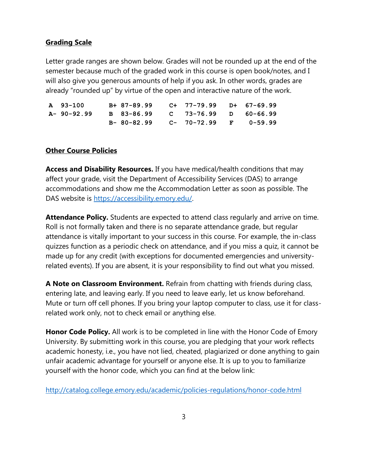#### **Grading Scale**

Letter grade ranges are shown below. Grades will not be rounded up at the end of the semester because much of the graded work in this course is open book/notes, and I will also give you generous amounts of help if you ask. In other words, grades are already "rounded up" by virtue of the open and interactive nature of the work.

| A 93-100   | B+ 87-89.99 C+ 77-79.99 D+ 67-69.99  |  |  |
|------------|--------------------------------------|--|--|
| A-90-92.99 | B 83-86.99  C  73-76.99  D  60-66.99 |  |  |
|            | $B-80-82.99$ C- 70-72.99 F 0-59.99   |  |  |

#### **Other Course Policies**

**Access and Disability Resources.** If you have medical/health conditions that may affect your grade, visit the Department of Accessibility Services (DAS) to arrange accommodations and show me the Accommodation Letter as soon as possible. The DAS website is [https://accessibility.emory.edu/.](https://accessibility.emory.edu/)

**Attendance Policy.** Students are expected to attend class regularly and arrive on time. Roll is not formally taken and there is no separate attendance grade, but regular attendance is vitally important to your success in this course. For example, the in-class quizzes function as a periodic check on attendance, and if you miss a quiz, it cannot be made up for any credit (with exceptions for documented emergencies and universityrelated events). If you are absent, it is your responsibility to find out what you missed.

**A Note on Classroom Environment.** Refrain from chatting with friends during class, entering late, and leaving early. If you need to leave early, let us know beforehand. Mute or turn off cell phones. If you bring your laptop computer to class, use it for classrelated work only, not to check email or anything else.

**Honor Code Policy.** All work is to be completed in line with the Honor Code of Emory University. By submitting work in this course, you are pledging that your work reflects academic honesty, i.e., you have not lied, cheated, plagiarized or done anything to gain unfair academic advantage for yourself or anyone else. It is up to you to familiarize yourself with the honor code, which you can find at the below link:

<http://catalog.college.emory.edu/academic/policies-regulations/honor-code.html>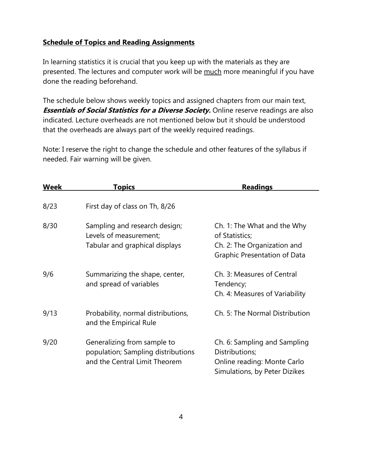# **Schedule of Topics and Reading Assignments**

In learning statistics it is crucial that you keep up with the materials as they are presented. The lectures and computer work will be much more meaningful if you have done the reading beforehand.

The schedule below shows weekly topics and assigned chapters from our main text, **Essentials of Social Statistics for a Diverse Society.** Online reserve readings are also indicated. Lecture overheads are not mentioned below but it should be understood that the overheads are always part of the weekly required readings.

Note: I reserve the right to change the schedule and other features of the syllabus if needed. Fair warning will be given.

| <b>Week</b> | <b>Topics</b>                                                                                      | <b>Readings</b>                                                                                                     |
|-------------|----------------------------------------------------------------------------------------------------|---------------------------------------------------------------------------------------------------------------------|
| 8/23        | First day of class on Th, 8/26                                                                     |                                                                                                                     |
| 8/30        | Sampling and research design;<br>Levels of measurement;<br>Tabular and graphical displays          | Ch. 1: The What and the Why<br>of Statistics;<br>Ch. 2: The Organization and<br><b>Graphic Presentation of Data</b> |
| 9/6         | Summarizing the shape, center,<br>and spread of variables                                          | Ch. 3: Measures of Central<br>Tendency;<br>Ch. 4: Measures of Variability                                           |
| 9/13        | Probability, normal distributions,<br>and the Empirical Rule                                       | Ch. 5: The Normal Distribution                                                                                      |
| 9/20        | Generalizing from sample to<br>population; Sampling distributions<br>and the Central Limit Theorem | Ch. 6: Sampling and Sampling<br>Distributions;<br>Online reading: Monte Carlo<br>Simulations, by Peter Dizikes      |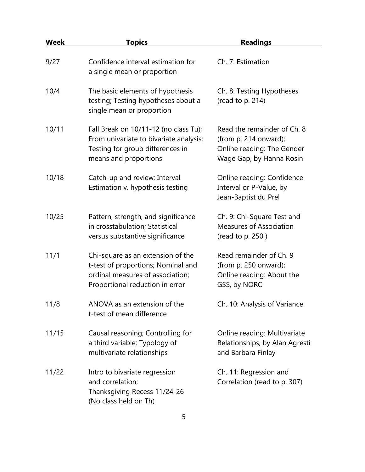| Week  | <u>Topics</u>                                                                                                                                  | <b>Readings</b>                                                                                                |
|-------|------------------------------------------------------------------------------------------------------------------------------------------------|----------------------------------------------------------------------------------------------------------------|
| 9/27  | Confidence interval estimation for<br>a single mean or proportion                                                                              | Ch. 7: Estimation                                                                                              |
| 10/4  | The basic elements of hypothesis<br>testing; Testing hypotheses about a<br>single mean or proportion                                           | Ch. 8: Testing Hypotheses<br>(read to p. 214)                                                                  |
| 10/11 | Fall Break on 10/11-12 (no class Tu);<br>From univariate to bivariate analysis;<br>Testing for group differences in<br>means and proportions   | Read the remainder of Ch. 8<br>(from p. 214 onward);<br>Online reading: The Gender<br>Wage Gap, by Hanna Rosin |
| 10/18 | Catch-up and review; Interval<br>Estimation v. hypothesis testing                                                                              | Online reading: Confidence<br>Interval or P-Value, by<br>Jean-Baptist du Prel                                  |
| 10/25 | Pattern, strength, and significance<br>in crosstabulation; Statistical<br>versus substantive significance                                      | Ch. 9: Chi-Square Test and<br><b>Measures of Association</b><br>(read to p. 250)                               |
| 11/1  | Chi-square as an extension of the<br>t-test of proportions; Nominal and<br>ordinal measures of association;<br>Proportional reduction in error | Read remainder of Ch. 9<br>(from $p. 250$ onward);<br>Online reading: About the<br>GSS, by NORC                |
| 11/8  | ANOVA as an extension of the<br>t-test of mean difference                                                                                      | Ch. 10: Analysis of Variance                                                                                   |
| 11/15 | Causal reasoning; Controlling for<br>a third variable; Typology of<br>multivariate relationships                                               | Online reading: Multivariate<br>Relationships, by Alan Agresti<br>and Barbara Finlay                           |
| 11/22 | Intro to bivariate regression<br>and correlation;<br>Thanksgiving Recess 11/24-26<br>(No class held on Th)                                     | Ch. 11: Regression and<br>Correlation (read to p. 307)                                                         |